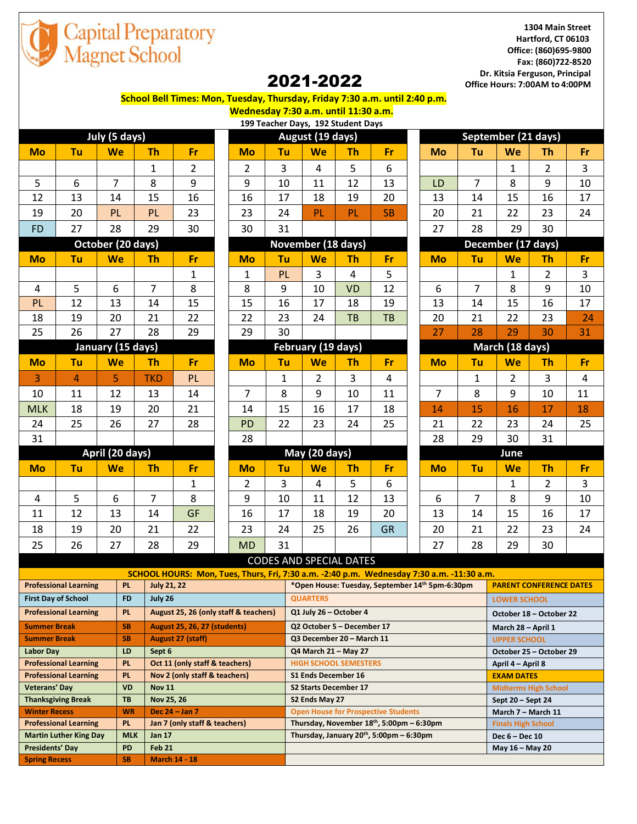

**1304 Main Street Hartford, CT 06103 Office: (860)695-9800 Fax: (860)722-8520 Dr. Kitsia Ferguson, Principal Office Hours: 7:00AM to 4:00PM**

## 2021-2022

 **School Bell Times: Mon, Tuesday, Thursday, Friday 7:30 a.m. until 2:40 p.m.**

**Wednesday 7:30 a.m. until 11:30 a.m.**

|                   |                |                |                |                    |                  | 199 Teacher Days, 192 Student Days |                    |           |           |                 |                     |                    |                |                |                |  |
|-------------------|----------------|----------------|----------------|--------------------|------------------|------------------------------------|--------------------|-----------|-----------|-----------------|---------------------|--------------------|----------------|----------------|----------------|--|
| July (5 days)     |                |                |                |                    | August (19 days) |                                    |                    |           |           |                 | September (21 days) |                    |                |                |                |  |
| <b>Mo</b>         | Tu             | We             | <b>Th</b>      | <b>Fr</b>          | Mo               | Tu                                 | We                 | <b>Th</b> | <b>Fr</b> |                 | Mo                  | Tu                 | We             | Th             | Fr             |  |
|                   |                |                | $\mathbf{1}$   | $\overline{2}$     | $\overline{2}$   | 3                                  | 4                  | 5         | 6         |                 |                     |                    | $\mathbf{1}$   | $\overline{2}$ | $\overline{3}$ |  |
| 5                 | 6              | $\overline{7}$ | 8              | 9                  | 9                | 10                                 | 11                 | 12        | 13        |                 | LD                  | $\overline{7}$     | 8              | 9              | 10             |  |
| 12                | 13             | 14             | 15             | 16                 | 16               | 17                                 | 18                 | 19        | 20        |                 | 13                  | 14                 | 15             | 16             | 17             |  |
| 19                | 20             | PL             | PL             | 23                 | 23               | 24                                 | <b>PL</b>          | PL        | <b>SB</b> |                 | 20                  | 21                 | 22             | 23             | 24             |  |
| <b>FD</b>         | 27             | 28             | 29             | 30                 | 30               | 31                                 |                    |           |           |                 | 27                  | 28                 | 29             | 30             |                |  |
| October (20 days) |                |                |                |                    |                  |                                    | November (18 days) |           |           |                 |                     | December (17 days) |                |                |                |  |
| <b>Mo</b>         | Tu             | <b>We</b>      | <b>Th</b>      | Fr                 | Mo               | Tu                                 | We                 | <b>Th</b> | <b>Fr</b> |                 | <b>Mo</b>           | Tu                 | We             | <b>Th</b>      | Fr             |  |
|                   |                |                |                | 1                  | $\mathbf{1}$     | PL                                 | 3                  | 4         | 5         |                 |                     |                    | 1              | $\overline{2}$ | $\mathbf{3}$   |  |
| $\overline{4}$    | 5              | 6              | $\overline{7}$ | 8                  | 8                | 9                                  | 10                 | <b>VD</b> | 12        |                 | 6                   | $\overline{7}$     | 8              | 9              | 10             |  |
| PL                | 12             | 13             | 14             | 15                 | 15               | 16                                 | 17                 | 18        | 19        |                 | 13                  | 14                 | 15             | 16             | 17             |  |
| 18                | 19             | 20             | 21             | 22                 | 22               | 23                                 | 24                 | <b>TB</b> | <b>TB</b> |                 | 20                  | 21                 | 22             | 23             | 24             |  |
| 25                | 26             | 27             | 28             | 29                 | 29               | 30                                 |                    |           |           |                 | 27                  | 28                 | 29             | 30             | 31             |  |
| January (15 days) |                |                |                | February (19 days) |                  |                                    |                    |           |           | March (18 days) |                     |                    |                |                |                |  |
| <b>Mo</b>         | Tu             | We             | <b>Th</b>      | Fr                 | Mo               | Tu                                 | <b>We</b>          | <b>Th</b> | <b>Fr</b> |                 | <b>Mo</b>           | Tu                 | We             | <b>Th</b>      | Fr             |  |
| 3                 | $\overline{4}$ | 5              | <b>TKD</b>     | PL                 |                  | $\mathbf{1}$                       | $\overline{2}$     | 3         | 4         |                 |                     | $\mathbf{1}$       | $\overline{2}$ | $\overline{3}$ | $\overline{4}$ |  |
| 10                | 11             | 12             | 13             | 14                 | $\overline{7}$   | 8                                  | 9                  | 10        | 11        |                 | $\overline{7}$      | 8                  | 9              | 10             | 11             |  |
| <b>MLK</b>        | 18             | 19             | 20             | 21                 | 14               | 15                                 | 16                 | 17        | 18        |                 | 14                  | 15                 | 16             | 17             | 18             |  |
| 24                | 25             | 26             | 27             | 28                 | <b>PD</b>        | 22                                 | 23                 | 24        | 25        |                 | 21                  | 22                 | 23             | 24             | 25             |  |
| 31                |                |                |                |                    | 28               |                                    |                    |           |           |                 | 28                  | 29                 | 30             | 31             |                |  |
| April (20 days)   |                |                |                |                    | May (20 days)    |                                    |                    |           |           |                 |                     |                    | June           |                |                |  |
| <b>Mo</b>         | Tu             | We             | <b>Th</b>      | Fr                 | <b>Mo</b>        | Tu                                 | We                 | <b>Th</b> | Fr        |                 | <b>Mo</b>           | Tu                 | We             | <b>Th</b>      | Fr             |  |
|                   |                |                |                | $\mathbf{1}$       | $\overline{2}$   | 3                                  | 4                  | 5         | 6         |                 |                     |                    | $\mathbf{1}$   | $\overline{2}$ | $\mathbf{3}$   |  |
| 4                 | 5              | 6              | 7              | 8                  | 9                | 10                                 | 11                 | 12        | 13        |                 | 6                   | $\overline{7}$     | 8              | 9              | 10             |  |
| 11                | 12             | 13             | 14             | <b>GF</b>          | 16               | 17                                 | 18                 | 19        | 20        |                 | 13                  | 14                 | 15             | 16             | 17             |  |
| 18                | 19             | 20             | 21             | 22                 | 23               | 24                                 | 25                 | 26        | <b>GR</b> |                 | 20                  | 21                 | 22             | 23             | 24             |  |
| 25                | 26             | 27             | 28             | 29                 | <b>MD</b>        | 31                                 |                    |           |           |                 | 27                  | 28                 | 29             | 30             |                |  |

|                         |                   |                |                |                | 199 Teacher Days, 192 Student Days |                    |                |           |                |                     |                    |                |                |
|-------------------------|-------------------|----------------|----------------|----------------|------------------------------------|--------------------|----------------|-----------|----------------|---------------------|--------------------|----------------|----------------|
|                         | July (5 days)     |                |                |                |                                    | August (19 days)   |                |           |                | September (21 days) |                    |                |                |
| ัน                      | We                | <b>Th</b>      | <b>Fr</b>      | <b>Mo</b>      | Tu                                 | We                 | Th             | Fr        | Mo             | Tu                  | We                 | <b>Th</b>      | F              |
|                         |                   | $\mathbf{1}$   | $\overline{2}$ | $\overline{2}$ | 3                                  | 4                  | 5              | 6         |                |                     | 1                  | $\overline{2}$ | 3              |
| 6                       | $\overline{7}$    | 8              | 9              | 9              | 10                                 | 11                 | 12             | 13        | LD             | $\overline{7}$      | 8                  | 9              | 1(             |
| $\overline{\mathbf{3}}$ | 14                | 15             | 16             | 16             | 17                                 | 18                 | 19             | 20        | 13             | 14                  | 15                 | 16             | 1              |
| $\overline{0}$          | <b>PL</b>         | PL             | 23             | 23             | 24                                 | PL                 | PL             | <b>SB</b> | 20             | 21                  | 22                 | 23             | 2 <sub>4</sub> |
| $\overline{7}$          | 28                | 29             | 30             | 30             | 31                                 |                    |                |           | 27             | 28                  | 29                 | 30             |                |
|                         | October (20 days) |                |                |                |                                    | November (18 days) |                |           |                |                     | December (17 days) |                |                |
| ัน                      | We                | <b>Th</b>      | Fr             | <b>Mo</b>      | Tu                                 | We                 | <b>Th</b>      | Fr        | <b>Mo</b>      | Tu                  | We                 | <b>Th</b>      | F              |
|                         |                   |                | $\mathbf{1}$   | $\mathbf{1}$   | PL                                 | $\overline{3}$     | $\overline{4}$ | 5         |                |                     | $\mathbf{1}$       | $\overline{2}$ | 3              |
| $\frac{5}{2}$           | 6                 | $\overline{7}$ | 8              | 8              | 9                                  | 10                 | <b>VD</b>      | 12        | 6              | $\overline{7}$      | 8                  | 9              | 1(             |
| $\overline{2}$          | 13                | 14             | 15             | 15             | 16                                 | 17                 | 18             | 19        | 13             | 14                  | 15                 | 16             | $\mathbf{1}$   |
| 9                       | 20                | 21             | 22             | 22             | 23                                 | 24                 | <b>TB</b>      | TB        | 20             | 21                  | 22                 | 23             | $\overline{a}$ |
| $.6^{\circ}$            | 27                | 28             | 29             | 29             | 30                                 |                    |                |           | 27             | 28                  | 29                 | 30             | 3 <sup>2</sup> |
| January (15 days)       |                   |                |                |                | February (19 days)                 |                    |                |           |                | March (18 days)     |                    |                |                |
| 'n.                     | We                | <b>Th</b>      | <b>Fr</b>      | <b>Mo</b>      | Tu                                 | We                 | <b>Th</b>      | Fr        | <b>Mo</b>      | Tu                  | We                 | Th             | F              |
| 4                       | 5                 | <b>TKD</b>     | <b>PL</b>      |                | $\mathbf{1}$                       | $\overline{2}$     | 3              | 4         |                | $\mathbf{1}$        | $\overline{2}$     | 3              | 4              |
| $\mathbf{1}$            | 12                | 13             | 14             | $\overline{7}$ | 8                                  | 9                  | 10             | 11        | $\overline{7}$ | 8                   | 9                  | 10             | 11             |
| $\overline{8}$          | 19                | 20             | 21             | 14             | 15                                 | 16                 | 17             | 18        | 14             | 15                  | 16                 | 17             | 18             |
| $\overline{.5}$         | 26                | 27             | 28             | <b>PD</b>      | 22                                 | 23                 | 24             | 25        | 21             | 22                  | 23                 | 24             | 2!             |
|                         |                   |                |                | 28             |                                    |                    |                |           | 28             | 29                  | 30                 | 31             |                |
|                         | April (20 days)   |                |                |                |                                    | May (20 days)      |                |           |                |                     | June               |                |                |
| ัน                      | We                | <b>Th</b>      | Fr             | <b>Mo</b>      | Tu                                 | We                 | <b>Th</b>      | Fr        | <b>Mo</b>      | Tu                  | We                 | <b>Th</b>      | F              |
|                         |                   |                | $\mathbf{1}$   | $\overline{2}$ | 3                                  | 4                  | 5              | 6         |                |                     | $\mathbf{1}$       | $\overline{2}$ | 3              |
| 5                       | 6                 | $\overline{7}$ | 8              | 9              | 10                                 | 11                 | 12             | 13        | 6              | $\overline{7}$      | 8                  | 9              | 1(             |
| $\overline{2}$          | 13                | 14             | GF             | 16             | 17                                 | 18                 | 19             | 20        | 13             | 14                  | 15                 | 16             | $\mathbf{1}$   |
| 9                       | 20                | 21             | 22             | 23             | 24                                 | 25                 | 26             | <b>GR</b> | 20             | 21                  | 22                 | 23             | 2 <sub>4</sub> |
| $.6\,$                  | 27                | 28             | 29             | <b>MD</b>      | 31                                 |                    |                |           | 27             | 28                  | 29                 | 30             |                |
|                         |                   |                |                |                | CODES AND SPECIAL DATES            |                    |                |           |                |                     |                    |                |                |

| September (21 days) |                |                |                         |                         |  |  |  |  |  |  |
|---------------------|----------------|----------------|-------------------------|-------------------------|--|--|--|--|--|--|
| Mo                  | Tu             | We             | <b>Th</b>               | Fr                      |  |  |  |  |  |  |
|                     |                | $\overline{1}$ | $\overline{\mathbf{c}}$ | 3                       |  |  |  |  |  |  |
| LD                  | $\overline{7}$ | 8              | 9                       | 10                      |  |  |  |  |  |  |
| 13                  | 14             | 15             | 16                      | 17                      |  |  |  |  |  |  |
| 20                  | 21             | 22             | 23                      | 24                      |  |  |  |  |  |  |
| 27                  | 28             | 29             | 30                      |                         |  |  |  |  |  |  |
| December (17 days)  |                |                |                         |                         |  |  |  |  |  |  |
| Mo                  | Tu             | We             | <b>Th</b>               | Fr                      |  |  |  |  |  |  |
|                     |                | $\overline{1}$ | $\overline{\mathbf{c}}$ | 3                       |  |  |  |  |  |  |
| 6                   | $\overline{7}$ | 8              | 9                       | 10                      |  |  |  |  |  |  |
| 13                  | 14             | 15             | 16                      | 17                      |  |  |  |  |  |  |
| 20                  | 21             | 22             | 23                      | 24                      |  |  |  |  |  |  |
| 27                  | 28             | 29             | 30                      | 31                      |  |  |  |  |  |  |
| March (18 days)     |                |                |                         |                         |  |  |  |  |  |  |
|                     |                |                |                         |                         |  |  |  |  |  |  |
| Mo                  | Tu             | We             | Th                      | Fr                      |  |  |  |  |  |  |
|                     | $\mathbf{1}$   | 2              | 3                       | 4                       |  |  |  |  |  |  |
| $\overline{7}$      | 8              | 9              | 10                      | 11                      |  |  |  |  |  |  |
| 14                  | 15             | 16             | 17                      | 18                      |  |  |  |  |  |  |
| 21                  | 22             | 23             | 24                      | 25                      |  |  |  |  |  |  |
| 28                  | 29             | 30             | 31                      |                         |  |  |  |  |  |  |
|                     |                | June           |                         |                         |  |  |  |  |  |  |
| Mo                  | Tu             | We             | Th                      | Fr                      |  |  |  |  |  |  |
|                     |                | $\overline{1}$ | $\overline{c}$          | $\overline{\mathbf{3}}$ |  |  |  |  |  |  |
| 6                   | $\overline{7}$ | 8              | 9                       | 10                      |  |  |  |  |  |  |
| 13                  | 14             | 15             | 16                      | 17                      |  |  |  |  |  |  |
| 20                  | 21             | 22             | 23                      | 24                      |  |  |  |  |  |  |

## CODES AND SPECIAL DATES

| SCHOOL HOURS: Mon, Tues, Thurs, Fri, 7:30 a.m. -2:40 p.m. Wednesday 7:30 a.m. -11:30 a.m. |            |                                       |                                                      |                                |  |  |  |  |  |
|-------------------------------------------------------------------------------------------|------------|---------------------------------------|------------------------------------------------------|--------------------------------|--|--|--|--|--|
| <b>Professional Learning</b>                                                              | PL.        | <b>July 21, 22</b>                    | *Open House: Tuesday, September 14th 5pm-6:30pm      | <b>PARENT CONFERENCE DATES</b> |  |  |  |  |  |
| <b>First Day of School</b>                                                                | <b>FD</b>  | July 26                               | <b>QUARTERS</b>                                      | <b>LOWER SCHOOL</b>            |  |  |  |  |  |
| <b>Professional Learning</b>                                                              | PL.        | August 25, 26 (only staff & teachers) | Q1 July 26 - October 4                               | October 18 – October 22        |  |  |  |  |  |
| <b>Summer Break</b>                                                                       | <b>SB</b>  | <b>August 25, 26, 27 (students)</b>   | Q2 October 5 - December 17                           | March 28 - April 1             |  |  |  |  |  |
| <b>Summer Break</b>                                                                       | <b>SB</b>  | <b>August 27 (staff)</b>              | Q3 December 20 - March 11                            | <b>UPPER SCHOOL</b>            |  |  |  |  |  |
| <b>Labor Day</b>                                                                          | LD         | Sept 6                                | Q4 March 21 - May 27                                 | October 25 - October 29        |  |  |  |  |  |
| <b>Professional Learning</b>                                                              | PL.        | Oct 11 (only staff & teachers)        | <b>HIGH SCHOOL SEMESTERS</b>                         | April 4 - April 8              |  |  |  |  |  |
| <b>Professional Learning</b>                                                              | <b>PL</b>  | Nov 2 (only staff & teachers)         | S1 Ends December 16                                  | <b>EXAM DATES</b>              |  |  |  |  |  |
| <b>Veterans' Day</b>                                                                      | <b>VD</b>  | <b>Nov 11</b>                         | <b>S2 Starts December 17</b>                         | <b>Midterms High School</b>    |  |  |  |  |  |
| <b>Thanksgiving Break</b>                                                                 | <b>TB</b>  | Nov 25, 26                            | S2 Ends May 27                                       | Sept $20 -$ Sept 24            |  |  |  |  |  |
| <b>Winter Recess</b>                                                                      | <b>WR</b>  | Dec $24 - Jan 7$                      | <b>Open House for Prospective Students</b>           | March 7 - March 11             |  |  |  |  |  |
| <b>Professional Learning</b>                                                              | PL.        | Jan 7 (only staff & teachers)         | Thursday, November 18th, 5:00pm – 6:30pm             | <b>Finals High School</b>      |  |  |  |  |  |
| <b>Martin Luther King Day</b>                                                             | <b>MLK</b> | <b>Jan 17</b>                         | Thursday, January 20 <sup>th</sup> , 5:00pm – 6:30pm | Dec $6 - Dec 10$               |  |  |  |  |  |
| <b>Presidents' Day</b>                                                                    | <b>PD</b>  | <b>Feb 21</b>                         |                                                      | May 16 - May 20                |  |  |  |  |  |
| <b>Spring Recess</b>                                                                      | <b>SB</b>  | <b>March 14 - 18</b>                  |                                                      |                                |  |  |  |  |  |